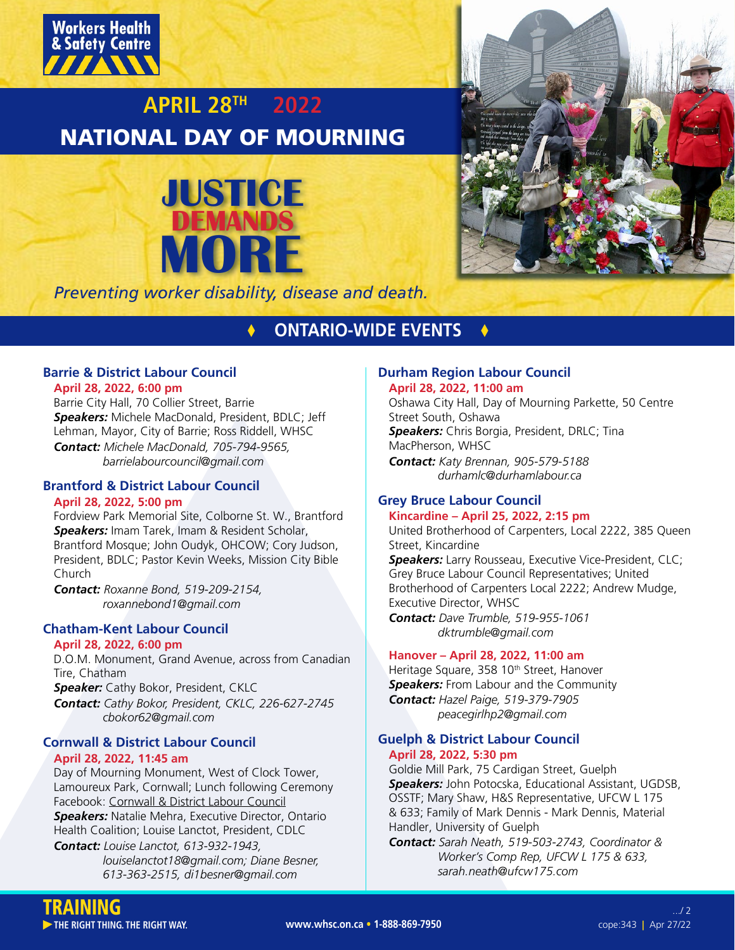

# **APRIL 28TH 2022** NATIONAL DAY OF MOURNING





*Preventing worker disability, disease and death.*

## **times ONTARIO-WIDE EVENTS &**

## **Barrie & District Labour Council**

**April 28, 2022, 6:00 pm**

Barrie City Hall, 70 Collier Street, Barrie *Speakers:* Michele MacDonald, President, BDLC; Jeff Lehman, Mayor, City of Barrie; Ross Riddell, WHSC *Contact: Michele MacDonald, 705-794-9565, barrielabourcouncil@gmail.com*

## **Brantford & District Labour Council**

## **April 28, 2022, 5:00 pm**

Fordview Park Memorial Site, Colborne St. W., Brantford *Speakers:* Imam Tarek, Imam & Resident Scholar, Brantford Mosque; John Oudyk, OHCOW; Cory Judson, President, BDLC; Pastor Kevin Weeks, Mission City Bible Church

*Contact: Roxanne Bond, 519-209-2154, roxannebond1@gmail.com*

## **Chatham-Kent Labour Council**

## **April 28, 2022, 6:00 pm**

D.O.M. Monument, Grand Avenue, across from Canadian Tire, Chatham

*Speaker:* Cathy Bokor, President, CKLC *Contact: Cathy Bokor, President, CKLC, 226-627-2745 cbokor62@gmail.com*

## **Cornwall & District Labour Council April 28, 2022, 11:45 am**

Day of Mourning Monument, West of Clock Tower, Lamoureux Park, Cornwall; Lunch following Ceremony Facebook: [Cornwall & District Labour Council](https://www.facebook.com/CDLabourCouncil/) *Speakers:* Natalie Mehra, Executive Director, Ontario Health Coalition; Louise Lanctot, President, CDLC *Contact: Louise Lanctot, 613-932-1943,* 

 *louiselanctot18@gmail.com; Diane Besner, 613-363-2515, di1besner@gmail.com*

### **Durham Region Labour Council April 28, 2022, 11:00 am**

Oshawa City Hall, Day of Mourning Parkette, 50 Centre Street South, Oshawa *Speakers:* Chris Borgia, President, DRLC; Tina MacPherson, WHSC

*Contact: Katy Brennan, 905-579-5188 durhamlc@durhamlabour.ca*

## **Grey Bruce Labour Council**

## **Kincardine – April 25, 2022, 2:15 pm**

United Brotherhood of Carpenters, Local 2222, 385 Queen Street, Kincardine

*Speakers:* Larry Rousseau, Executive Vice-President, CLC; Grey Bruce Labour Council Representatives; United Brotherhood of Carpenters Local 2222; Andrew Mudge, Executive Director, WHSC *Contact: Dave Trumble, 519-955-1061* 

 *dktrumble@gmail.com*

## **Hanover – April 28, 2022, 11:00 am**

Heritage Square, 358 10<sup>th</sup> Street, Hanover **Speakers:** From Labour and the Community *Contact: Hazel Paige, 519-379-7905 peacegirlhp2@gmail.com*

## **Guelph & District Labour Council April 28, 2022, 5:30 pm**

Goldie Mill Park, 75 Cardigan Street, Guelph *Speakers:* John Potocska, Educational Assistant, UGDSB, OSSTF; Mary Shaw, H&S Representative, UFCW L 175 & 633; Family of Mark Dennis - Mark Dennis, Material Handler, University of Guelph

*Contact: Sarah Neath, 519-503-2743, Coordinator & Worker's Comp Rep, UFCW L 175 & 633, sarah.neath@ufcw175.com*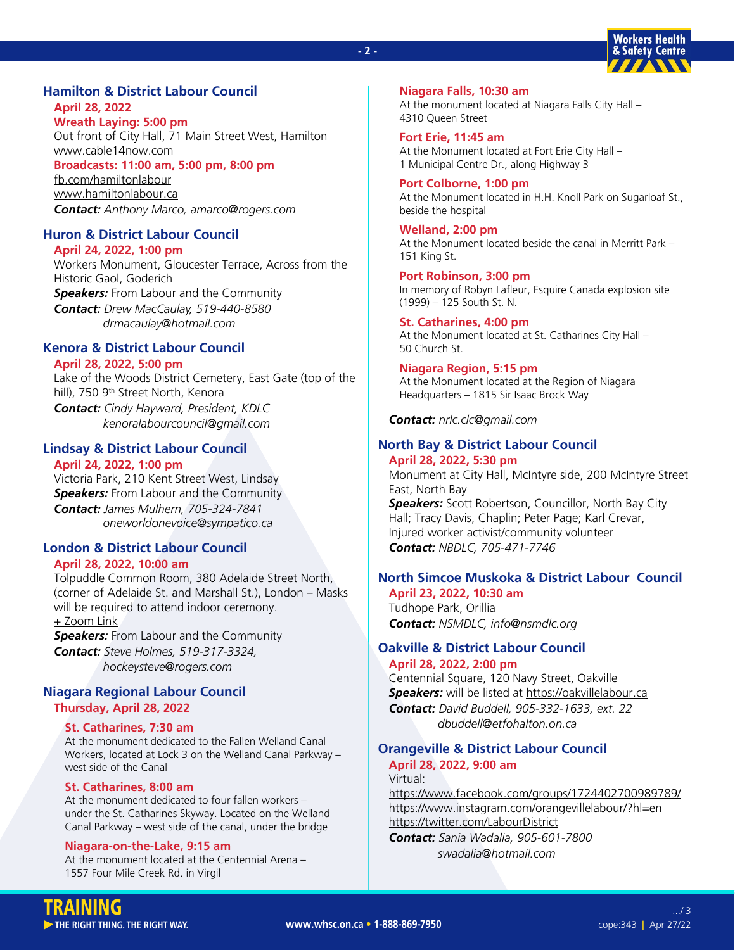#### **- 2 -**



## **Hamilton & District Labour Council April 28, 2022**

**Wreath Laying: 5:00 pm** Out front of City Hall, 71 Main Street West, Hamilton [www.cable14now.com](https://cable14now.com/live-streams/) **Broadcasts: 11:00 am, 5:00 pm, 8:00 pm** [fb.com/hamiltonlabour](https://www.facebook.com/hamiltonlabour) [www.hamiltonlabour.ca](https://www.hamiltonlabour.ca/) *Contact: Anthony Marco, amarco@rogers.com*

## **Huron & District Labour Council**

**April 24, 2022, 1:00 pm** Workers Monument, Gloucester Terrace, Across from the Historic Gaol, Goderich *Speakers:* From Labour and the Community *Contact: Drew MacCaulay, 519-440-8580 drmacaulay@hotmail.com*

## **Kenora & District Labour Council**

### **April 28, 2022, 5:00 pm**

Lake of the Woods District Cemetery, East Gate (top of the hill), 750 9<sup>th</sup> Street North, Kenora *Contact: Cindy Hayward, President, KDLC kenoralabourcouncil@gmail.com*

## **Lindsay & District Labour Council**

## **April 24, 2022, 1:00 pm**

Victoria Park, 210 Kent Street West, Lindsay **Speakers:** From Labour and the Community *Contact: James Mulhern, 705-324-7841 oneworldonevoice@sympatico.ca*

## **London & District Labour Council**

#### **April 28, 2022, 10:00 am**

Tolpuddle Common Room, 380 Adelaide Street North, (corner of Adelaide St. and Marshall St.), London – Masks will be required to attend indoor ceremony. [+ Zoom Link](https://us02web.zoom.us/j/84769221017?pwd=d0JJcFlnd3U5ZVRyZXZYRWgzNlIwUT09)

*Speakers:* From Labour and the Community *Contact: Steve Holmes, 519-317-3324, hockeysteve@rogers.com*

### **Niagara Regional Labour Council Thursday, April 28, 2022**

## **St. Catharines, 7:30 am**

At the monument dedicated to the Fallen Welland Canal Workers, located at Lock 3 on the Welland Canal Parkway – west side of the Canal

## **St. Catharines, 8:00 am**

At the monument dedicated to four fallen workers – under the St. Catharines Skyway. Located on the Welland Canal Parkway – west side of the canal, under the bridge

#### **Niagara-on-the-Lake, 9:15 am**

At the monument located at the Centennial Arena – 1557 Four Mile Creek Rd. in Virgil

**Niagara Falls, 10:30 am** At the monument located at Niagara Falls City Hall – 4310 Queen Street

**Fort Erie, 11:45 am** At the Monument located at Fort Erie City Hall – 1 Municipal Centre Dr., along Highway 3

**Port Colborne, 1:00 pm** At the Monument located in H.H. Knoll Park on Sugarloaf St., beside the hospital

**Welland, 2:00 pm** At the Monument located beside the canal in Merritt Park – 151 King St.

**Port Robinson, 3:00 pm** In memory of Robyn Lafleur, Esquire Canada explosion site (1999) – 125 South St. N.

**St. Catharines, 4:00 pm** At the Monument located at St. Catharines City Hall – 50 Church St.

**Niagara Region, 5:15 pm** At the Monument located at the Region of Niagara Headquarters – 1815 Sir Isaac Brock Way

*Contact: nrlc.clc@gmail.com*

## **North Bay & District Labour Council**

## **April 28, 2022, 5:30 pm** Monument at City Hall, McIntyre side, 200 McIntyre Street East, North Bay *Speakers:* Scott Robertson, Councillor, North Bay City Hall; Tracy Davis, Chaplin; Peter Page; Karl Crevar, Injured worker activist/community volunteer *Contact: NBDLC, 705-471-7746*

## **North Simcoe Muskoka & District Labour Council**

**April 23, 2022, 10:30 am** Tudhope Park, Orillia *Contact: NSMDLC, info@nsmdlc.org*

### **Oakville & District Labour Council April 28, 2022, 2:00 pm**

Centennial Square, 120 Navy Street, Oakville **Speakers:** will be listed at<https://oakvillelabour.ca> *Contact: David Buddell, 905-332-1633, ext. 22 dbuddell@etfohalton.on.ca*

## **Orangeville & District Labour Council April 28, 2022, 9:00 am**

Virtual:

<https://www.facebook.com/groups/1724402700989789/> <https://www.instagram.com/orangevillelabour/?hl=en> <https://twitter.com/LabourDistrict> *Contact: Sania Wadalia, 905-601-7800*

 *swadalia@hotmail.com*